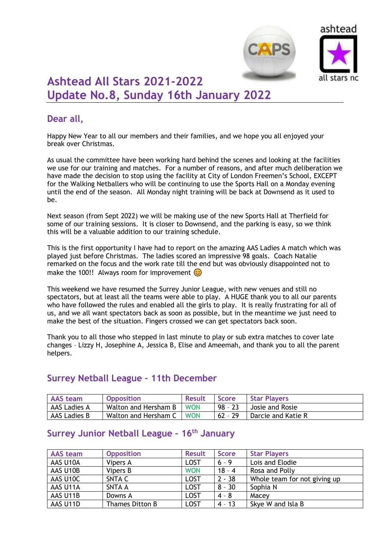



# **Ashtead All Stars 2021-2022 Update No.8, Sunday 16th January 2022**

## **Dear all,**

Happy New Year to all our members and their families, and we hope you all enjoyed your break over Christmas.

As usual the committee have been working hard behind the scenes and looking at the facilities we use for our training and matches. For a number of reasons, and after much deliberation we have made the decision to stop using the facility at City of London Freemen's School, EXCEPT for the Walking Netballers who will be continuing to use the Sports Hall on a Monday evening until the end of the season. All Monday night training will be back at Downsend as it used to be.

Next season (from Sept 2022) we will be making use of the new Sports Hall at Therfield for some of our training sessions. It is closer to Downsend, and the parking is easy, so we think this will be a valuable addition to our training schedule.

This is the first opportunity I have had to report on the amazing AAS Ladies A match which was played just before Christmas. The ladies scored an impressive 98 goals. Coach Natalie remarked on the focus and the work rate till the end but was obviously disappointed not to make the 100!! Always room for improvement  $\odot$ 

This weekend we have resumed the Surrey Junior League, with new venues and still no spectators, but at least all the teams were able to play. A HUGE thank you to all our parents who have followed the rules and enabled all the girls to play. It is really frustrating for all of us, and we all want spectators back as soon as possible, but in the meantime we just need to make the best of the situation. Fingers crossed we can get spectators back soon.

Thank you to all those who stepped in last minute to play or sub extra matches to cover late changes – Lizzy H, Josephine A, Jessica B, Elise and Ameemah, and thank you to all the parent helpers.

#### **Surrey Netball League – 11th December**

| <b>AAS team</b> | <b>Opposition</b>          | <b>Result</b> | <b>Score</b> | Star Players       |
|-----------------|----------------------------|---------------|--------------|--------------------|
| AAS Ladies A    | Walton and Hersham B       | <b>WON</b>    | 98 - 23      | Josie and Rosie    |
| AAS Ladies B    | Walton and Hersham C   WON |               | $162 - 29$   | Darcie and Katie R |

### **Surrey Junior Netball League – 16th January**

| <b>AAS</b> team | <b>Opposition</b> | <b>Result</b> | <b>Score</b> | <b>Star Players</b>          |
|-----------------|-------------------|---------------|--------------|------------------------------|
| AAS U10A        | Vipers A          | LOST          | $6 - 9$      | Lois and Elodie              |
| AAS U10B        | Vipers B          | <b>WON</b>    | $18 - 4$     | Rosa and Polly               |
| AAS U10C        | SNTA C            | <b>LOST</b>   | $2 - 38$     | Whole team for not giving up |
| AAS U11A        | SNTA A            | <b>LOST</b>   | $8 - 30$     | Sophia N                     |
| AAS U11B        | Downs A           | <b>LOST</b>   | $4 - 8$      | Macey                        |
| AAS U11D        | Thames Ditton B   | <b>LOST</b>   | $4 - 13$     | Skye W and Isla B            |